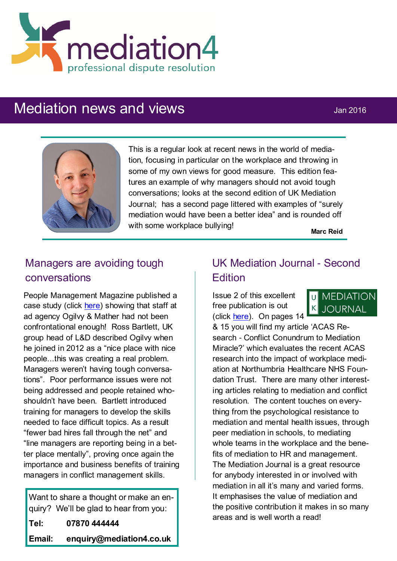

# Mediation news and views **Mediation** News 3016



This is a regular look at recent news in the world of mediation, focusing in particular on the workplace and throwing in some of my own views for good measure. This edition features an example of why managers should not avoid tough conversations; looks at the second edition of UK Mediation Journal; has a second page littered with examples of "surely mediation would have been a better idea" and is rounded off with some workplace bullying!

**Marc Reid**

## Managers are avoiding tough conversations

People Management Magazine published a case study (click [here\)](http://www.cipd.co.uk/pm/peoplemanagement/b/weblog/archive/2015/12/23/case-study-ogilvy-amp-mather.aspx) showing that staff at ad agency Ogilvy & Mather had not been confrontational enough! Ross Bartlett, UK group head of L&D described Ogilvy when he joined in 2012 as a "nice place with nice people...this was creating a real problem. Managers weren't having tough conversations". Poor performance issues were not being addressed and people retained whoshouldn't have been. Bartlett introduced training for managers to develop the skills needed to face difficult topics. As a result "fewer bad hires fall through the net" and "line managers are reporting being in a better place mentally", proving once again the importance and business benefits of training managers in conflict management skills.

Want to share a thought or make an enquiry? We'll be glad to hear from you: **Tel: 07870 444444 Email: enquiry@mediation4.co.uk**

### UK Mediation Journal - Second **Edition**

Issue 2 of this excellent free publication is out (click [here\)](http://ukmediationjournal.com/editions.html). On pages 14



& 15 you will find my article 'ACAS Research - Conflict Conundrum to Mediation Miracle?' which evaluates the recent ACAS research into the impact of workplace mediation at Northumbria Healthcare NHS Foundation Trust. There are many other interesting articles relating to mediation and conflict resolution. The content touches on everything from the psychological resistance to mediation and mental health issues, through peer mediation in schools, to mediating whole teams in the workplace and the benefits of mediation to HR and management. The Mediation Journal is a great resource for anybody interested in or involved with mediation in all it's many and varied forms. It emphasises the value of mediation and the positive contribution it makes in so many areas and is well worth a read!